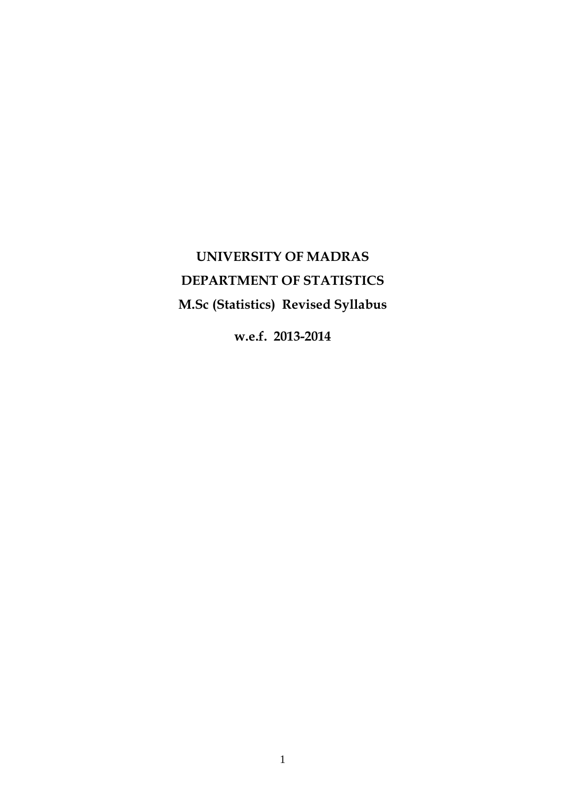# **UNIVERSITY OF MADRAS DEPARTMENT OF STATISTICS M.Sc (Statistics) Revised Syllabus**

**w.e.f. 2013-2014**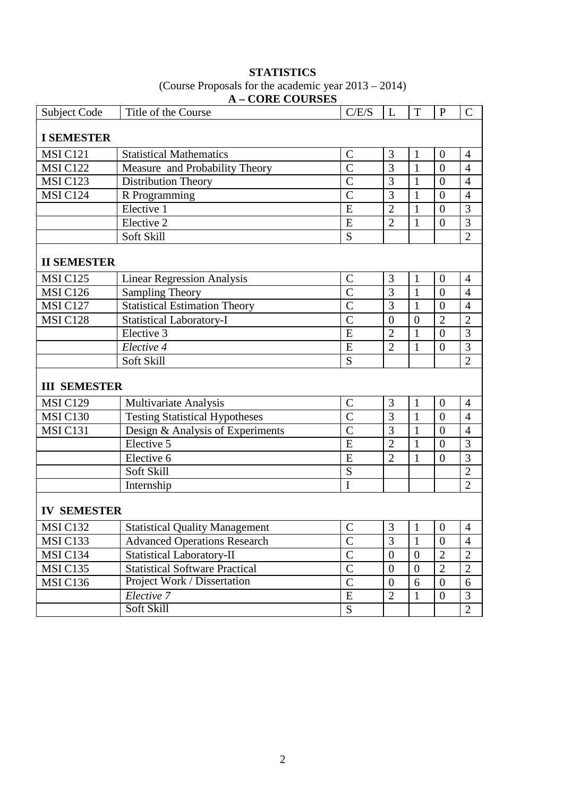| <b>Subject Code</b> | Title of the Course                   | C/E/S              | L              | $\mathbf T$    | $\mathbf P$      | $\overline{C}$ |
|---------------------|---------------------------------------|--------------------|----------------|----------------|------------------|----------------|
| <b>I SEMESTER</b>   |                                       |                    |                |                |                  |                |
| <b>MSI C121</b>     | <b>Statistical Mathematics</b>        | $\mathcal{C}$      | 3              | $\mathbf{1}$   | $\overline{0}$   | $\overline{4}$ |
| <b>MSI C122</b>     | Measure and Probability Theory        | $\overline{C}$     | 3              | 1              | $\overline{0}$   | $\overline{4}$ |
| <b>MSI C123</b>     | Distribution Theory                   | $\overline{\rm C}$ | $\overline{3}$ | $\mathbf{1}$   | $\overline{0}$   | $\overline{4}$ |
| MSI C124            | R Programming                         | $\overline{C}$     | 3              | $\mathbf{1}$   | $\overline{0}$   | $\overline{4}$ |
|                     | Elective 1                            | E                  | $\overline{2}$ | $\mathbf{1}$   | $\overline{0}$   | 3              |
|                     | Elective 2                            | E                  | $\overline{2}$ | $\mathbf{1}$   | $\overline{0}$   | 3              |
|                     | Soft Skill                            | S                  |                |                |                  | $\overline{2}$ |
|                     |                                       |                    |                |                |                  |                |
| <b>II SEMESTER</b>  |                                       |                    |                |                |                  |                |
| <b>MSI C125</b>     | <b>Linear Regression Analysis</b>     | $\mathcal{C}$      | 3              | $\mathbf{1}$   | $\overline{0}$   | $\overline{4}$ |
| <b>MSI C126</b>     | <b>Sampling Theory</b>                | $\overline{C}$     | 3              | $\mathbf{1}$   | $\overline{0}$   | $\overline{4}$ |
| <b>MSI C127</b>     | <b>Statistical Estimation Theory</b>  | $\overline{C}$     | 3              | $\mathbf{1}$   | $\overline{0}$   | $\overline{4}$ |
| <b>MSI C128</b>     | <b>Statistical Laboratory-I</b>       | $\overline{C}$     | $\overline{0}$ | $\overline{0}$ | $\overline{2}$   | $\overline{2}$ |
|                     | Elective 3                            | E                  | $\overline{2}$ | 1              | $\overline{0}$   | 3              |
|                     | Elective 4                            | E                  | $\overline{2}$ | $\mathbf{1}$   | $\overline{0}$   | 3              |
|                     | Soft Skill                            | S                  |                |                |                  | $\overline{2}$ |
| <b>III SEMESTER</b> |                                       |                    |                |                |                  |                |
| <b>MSI C129</b>     | Multivariate Analysis                 | $\mathcal{C}$      | 3              | $\mathbf{1}$   | $\boldsymbol{0}$ | $\overline{4}$ |
| <b>MSI C130</b>     | <b>Testing Statistical Hypotheses</b> | $\overline{C}$     | $\overline{3}$ | $\mathbf{1}$   | $\overline{0}$   | $\overline{4}$ |
| MSIC <sub>131</sub> | Design & Analysis of Experiments      | $\overline{C}$     | 3              | $\mathbf{1}$   | $\overline{0}$   | $\overline{4}$ |
|                     | Elective 5                            | E                  | $\overline{2}$ | $\mathbf{1}$   | $\overline{0}$   | 3              |
|                     | Elective 6                            | E                  | $\overline{2}$ | $\mathbf{1}$   | $\overline{0}$   | 3              |
|                     | Soft Skill                            | S                  |                |                |                  | $\overline{2}$ |
|                     | Internship                            | I                  |                |                |                  | $\overline{2}$ |
|                     |                                       |                    |                |                |                  |                |
| <b>IV SEMESTER</b>  |                                       |                    |                |                |                  |                |
| MSI C132            | <b>Statistical Quality Management</b> | $\mathcal{C}$      | $\mathfrak{Z}$ | $\mathbf{1}$   | $\boldsymbol{0}$ | $\overline{4}$ |
| MSI C133            | <b>Advanced Operations Research</b>   | $\overline{C}$     | $\overline{3}$ | $\mathbf{1}$   | $\overline{0}$   | $\overline{4}$ |
| MSI C134            | <b>Statistical Laboratory-II</b>      | $\mathbf C$        | $\theta$       | $\overline{0}$ | $\overline{2}$   | $\overline{2}$ |
| <b>MSI C135</b>     | <b>Statistical Software Practical</b> | $\overline{C}$     | $\overline{0}$ | $\overline{0}$ | $\overline{2}$   | $\overline{2}$ |
| MSI C136            | Project Work / Dissertation           | $\mathcal{C}$      | $\theta$       | 6              | $\boldsymbol{0}$ | 6              |
|                     | Elective 7                            | ${\bf E}$          | $\overline{2}$ | $\mathbf{1}$   | $\boldsymbol{0}$ | 3              |
|                     | Soft Skill                            | ${\bf S}$          |                |                |                  | $\mathbf{2}$   |
|                     |                                       |                    |                |                |                  |                |

# **STATISTICS**  (Course Proposals for the academic year 2013 – 2014) **A – CORE COURSES**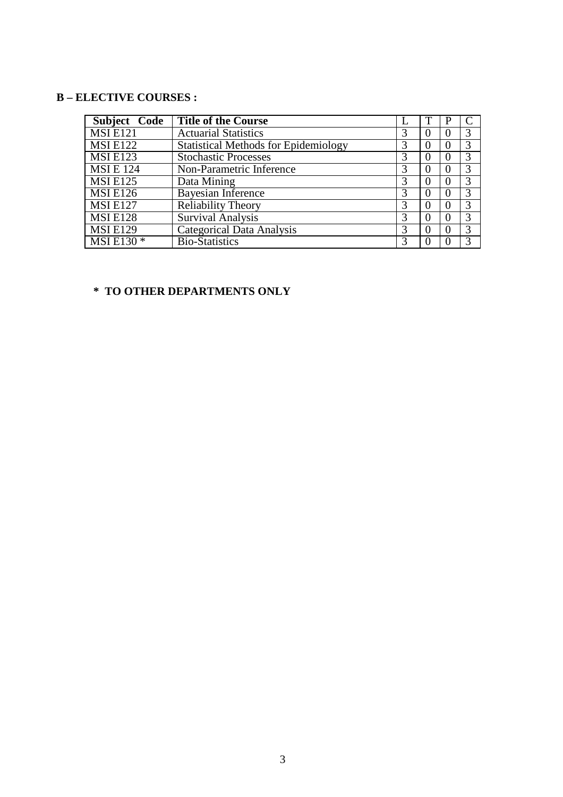# **B – ELECTIVE COURSES :**

| Subject Code    | <b>Title of the Course</b>                  |   |   |               |
|-----------------|---------------------------------------------|---|---|---------------|
| <b>MSIE121</b>  | <b>Actuarial Statistics</b>                 | 3 | 0 | 3             |
| <b>MSIE122</b>  | <b>Statistical Methods for Epidemiology</b> | 3 | O | 3             |
| <b>MSIE123</b>  | <b>Stochastic Processes</b>                 | 3 |   | 3             |
| <b>MSIE</b> 124 | Non-Parametric Inference                    | 3 |   | 3             |
| <b>MSIE125</b>  | Data Mining                                 | 3 |   | 3             |
| <b>MSIE126</b>  | Bayesian Inference                          | 3 |   | 3             |
| <b>MSI E127</b> | Reliability Theory                          | 3 |   | 3             |
| <b>MSIE128</b>  | <b>Survival Analysis</b>                    | 3 |   | 3             |
| <b>MSIE129</b>  | <b>Categorical Data Analysis</b>            | 3 |   | 3             |
| MSI E130 *      | <b>Bio-Statistics</b>                       | 3 |   | $\mathcal{R}$ |

# **\* TO OTHER DEPARTMENTS ONLY**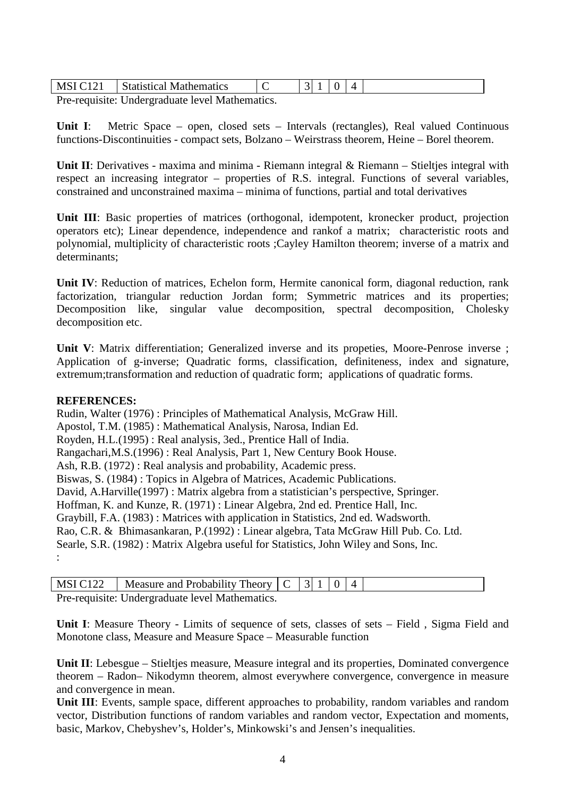| $\mathbf{M}^{\mathbf{C}}$ | ematics<br>$\mathbf{W}$<br>пe                                                                                                                                                                                                                                                                                                      |  |  |  |
|---------------------------|------------------------------------------------------------------------------------------------------------------------------------------------------------------------------------------------------------------------------------------------------------------------------------------------------------------------------------|--|--|--|
|                           | $\mathbf{D}$ $\mathbf{I}$ $\mathbf{I}$ $\mathbf{I}$ $\mathbf{I}$ $\mathbf{I}$ $\mathbf{I}$ $\mathbf{I}$ $\mathbf{I}$ $\mathbf{I}$ $\mathbf{I}$ $\mathbf{I}$ $\mathbf{I}$ $\mathbf{I}$ $\mathbf{I}$ $\mathbf{I}$ $\mathbf{I}$ $\mathbf{I}$ $\mathbf{I}$ $\mathbf{I}$ $\mathbf{I}$ $\mathbf{I}$ $\mathbf{I}$ $\mathbf{I}$ $\mathbf{$ |  |  |  |

Pre-requisite: Undergraduate level Mathematics.

**Unit I**: Metric Space – open, closed sets – Intervals (rectangles), Real valued Continuous functions-Discontinuities - compact sets, Bolzano – Weirstrass theorem, Heine – Borel theorem.

Unit II: Derivatives - maxima and minima - Riemann integral & Riemann – Stieltjes integral with respect an increasing integrator – properties of R.S. integral. Functions of several variables, constrained and unconstrained maxima – minima of functions, partial and total derivatives

**Unit III**: Basic properties of matrices (orthogonal, idempotent, kronecker product, projection operators etc); Linear dependence, independence and rankof a matrix; characteristic roots and polynomial, multiplicity of characteristic roots ;Cayley Hamilton theorem; inverse of a matrix and determinants;

**Unit IV**: Reduction of matrices, Echelon form, Hermite canonical form, diagonal reduction, rank factorization, triangular reduction Jordan form; Symmetric matrices and its properties; Decomposition like, singular value decomposition, spectral decomposition, Cholesky decomposition etc.

**Unit V**: Matrix differentiation; Generalized inverse and its propeties, Moore-Penrose inverse ; Application of g-inverse; Quadratic forms, classification, definiteness, index and signature, extremum;transformation and reduction of quadratic form; applications of quadratic forms.

#### **REFERENCES:**

Rudin, Walter (1976) : Principles of Mathematical Analysis, McGraw Hill. Apostol, T.M. (1985) : Mathematical Analysis, Narosa, Indian Ed. Royden, H.L.(1995) : Real analysis, 3ed., Prentice Hall of India. Rangachari,M.S.(1996) : Real Analysis, Part 1, New Century Book House. Ash, R.B. (1972) : Real analysis and probability, Academic press. Biswas, S. (1984) : Topics in Algebra of Matrices, Academic Publications. David, A.Harville(1997) : Matrix algebra from a statistician's perspective, Springer. Hoffman, K. and Kunze, R. (1971) : Linear Algebra, 2nd ed. Prentice Hall, Inc. Graybill, F.A. (1983) : Matrices with application in Statistics, 2nd ed. Wadsworth. Rao, C.R. & Bhimasankaran, P.(1992) : Linear algebra, Tata McGraw Hill Pub. Co. Ltd. Searle, S.R. (1982) : Matrix Algebra useful for Statistics, John Wiley and Sons, Inc. :

| MSI C122   Measure and Probability Theory $ C $ 3   1   0   4 |  |  |  |
|---------------------------------------------------------------|--|--|--|
| Pre-requisite: Undergraduate level Mathematics.               |  |  |  |

**Unit I**: Measure Theory - Limits of sequence of sets, classes of sets – Field , Sigma Field and Monotone class, Measure and Measure Space – Measurable function

**Unit II:** Lebesgue – Stieltjes measure, Measure integral and its properties, Dominated convergence theorem – Radon– Nikodymn theorem, almost everywhere convergence, convergence in measure and convergence in mean.

**Unit III**: Events, sample space, different approaches to probability, random variables and random vector, Distribution functions of random variables and random vector, Expectation and moments, basic, Markov, Chebyshev's, Holder's, Minkowski's and Jensen's inequalities.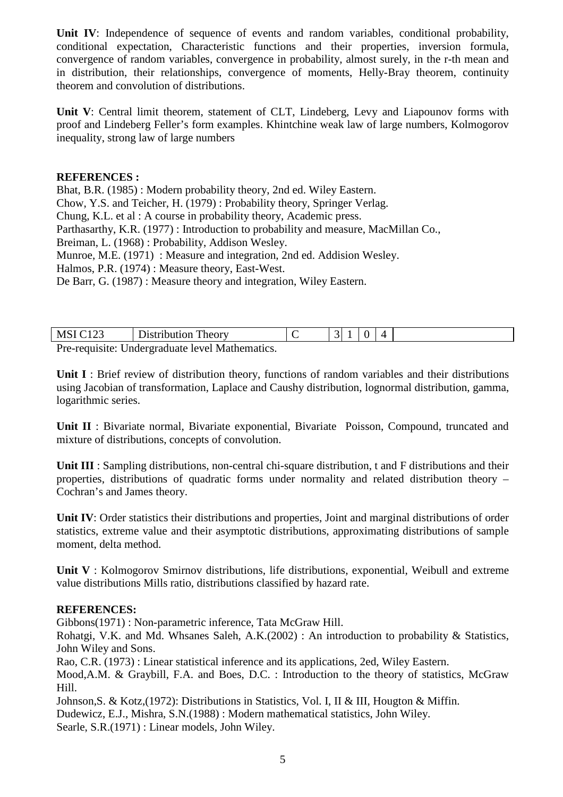**Unit IV**: Independence of sequence of events and random variables, conditional probability, conditional expectation, Characteristic functions and their properties, inversion formula, convergence of random variables, convergence in probability, almost surely, in the r-th mean and in distribution, their relationships, convergence of moments, Helly-Bray theorem, continuity theorem and convolution of distributions.

**Unit V**: Central limit theorem, statement of CLT, Lindeberg, Levy and Liapounov forms with proof and Lindeberg Feller's form examples. Khintchine weak law of large numbers, Kolmogorov inequality, strong law of large numbers

#### **REFERENCES :**

Bhat, B.R. (1985) : Modern probability theory, 2nd ed. Wiley Eastern.

Chow, Y.S. and Teicher, H. (1979) : Probability theory, Springer Verlag.

Chung, K.L. et al : A course in probability theory, Academic press.

Parthasarthy, K.R. (1977) : Introduction to probability and measure, MacMillan Co.,

Breiman, L. (1968) : Probability, Addison Wesley.

Munroe, M.E. (1971) : Measure and integration, 2nd ed. Addision Wesley.

Halmos, P.R. (1974) : Measure theory, East-West.

De Barr, G. (1987) : Measure theory and integration, Wiley Eastern.

| <b>MSI</b> | Distribution Theory                                             |  |  |  |
|------------|-----------------------------------------------------------------|--|--|--|
|            | . Das as astituded the dependence desired and the discovered as |  |  |  |

Pre-requisite: Undergraduate level Mathematics.

**Unit I** : Brief review of distribution theory, functions of random variables and their distributions using Jacobian of transformation, Laplace and Caushy distribution, lognormal distribution, gamma, logarithmic series.

**Unit II** : Bivariate normal, Bivariate exponential, Bivariate Poisson, Compound, truncated and mixture of distributions, concepts of convolution.

**Unit III** : Sampling distributions, non-central chi-square distribution, t and F distributions and their properties, distributions of quadratic forms under normality and related distribution theory – Cochran's and James theory.

**Unit IV**: Order statistics their distributions and properties, Joint and marginal distributions of order statistics, extreme value and their asymptotic distributions, approximating distributions of sample moment, delta method.

**Unit V** : Kolmogorov Smirnov distributions, life distributions, exponential, Weibull and extreme value distributions Mills ratio, distributions classified by hazard rate.

# **REFERENCES:**

Gibbons(1971) : Non-parametric inference, Tata McGraw Hill.

Rohatgi, V.K. and Md. Whsanes Saleh, A.K.(2002) : An introduction to probability & Statistics, John Wiley and Sons.

Rao, C.R. (1973) : Linear statistical inference and its applications, 2ed, Wiley Eastern. Mood,A.M. & Graybill, F.A. and Boes, D.C. : Introduction to the theory of statistics, McGraw Hill.

Johnson,S. & Kotz,(1972): Distributions in Statistics, Vol. I, II & III, Hougton & Miffin. Dudewicz, E.J., Mishra, S.N.(1988) : Modern mathematical statistics, John Wiley. Searle, S.R.(1971) : Linear models, John Wiley.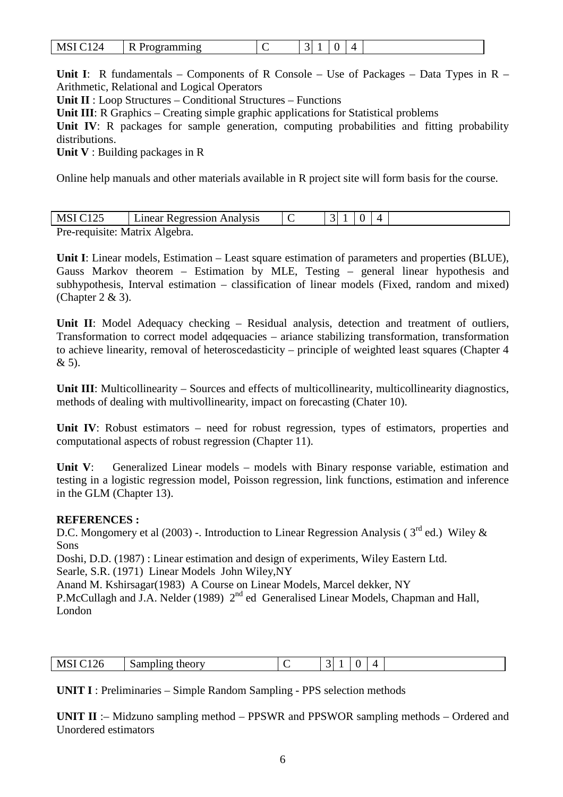| <b>MS</b><br>$\overline{\phantom{a}}$ | ь<br>. . |  |  |  |  | $\prime$ |  |
|---------------------------------------|----------|--|--|--|--|----------|--|
|---------------------------------------|----------|--|--|--|--|----------|--|

**Unit I**: R fundamentals – Components of R Console – Use of Packages – Data Types in R – Arithmetic, Relational and Logical Operators

**Unit II** : Loop Structures – Conditional Structures – Functions

**Unit III**: R Graphics – Creating simple graphic applications for Statistical problems

Unit IV: R packages for sample generation, computing probabilities and fitting probability distributions.

**Unit V** : Building packages in R

Online help manuals and other materials available in R project site will form basis for the course.

| MSI C125                       | Linear Regression Analysis |  |  |  |
|--------------------------------|----------------------------|--|--|--|
| Pre-requisite: Matrix Algebra. |                            |  |  |  |

**Unit I**: Linear models, Estimation – Least square estimation of parameters and properties (BLUE), Gauss Markov theorem – Estimation by MLE, Testing – general linear hypothesis and subhypothesis, Interval estimation – classification of linear models (Fixed, random and mixed) (Chapter 2 & 3).

Unit II: Model Adequacy checking - Residual analysis, detection and treatment of outliers, Transformation to correct model adqequacies – ariance stabilizing transformation, transformation to achieve linearity, removal of heteroscedasticity – principle of weighted least squares (Chapter 4 & 5).

**Unit III:** Multicollinearity – Sources and effects of multicollinearity, multicollinearity diagnostics, methods of dealing with multivollinearity, impact on forecasting (Chater 10).

Unit IV: Robust estimators – need for robust regression, types of estimators, properties and computational aspects of robust regression (Chapter 11).

**Unit V**: Generalized Linear models – models with Binary response variable, estimation and testing in a logistic regression model, Poisson regression, link functions, estimation and inference in the GLM (Chapter 13).

# **REFERENCES :**

D.C. Mongomery et al (2003) -. Introduction to Linear Regression Analysis ( $3<sup>rd</sup>$  ed.) Wiley & Sons

Doshi, D.D. (1987) : Linear estimation and design of experiments, Wiley Eastern Ltd. Searle, S.R. (1971) Linear Models John Wiley,NY

Anand M. Kshirsagar(1983) A Course on Linear Models, Marcel dekker, NY

P.McCullagh and J.A. Nelder (1989)  $2<sup>nd</sup>$  ed Generalised Linear Models, Chapman and Hall, London

| $M^{c}$<br>126 | theory<br>3. Sampling |  | - |  |  |
|----------------|-----------------------|--|---|--|--|
|                |                       |  |   |  |  |

**UNIT I** : Preliminaries – Simple Random Sampling - PPS selection methods

**UNIT II** :– Midzuno sampling method – PPSWR and PPSWOR sampling methods – Ordered and Unordered estimators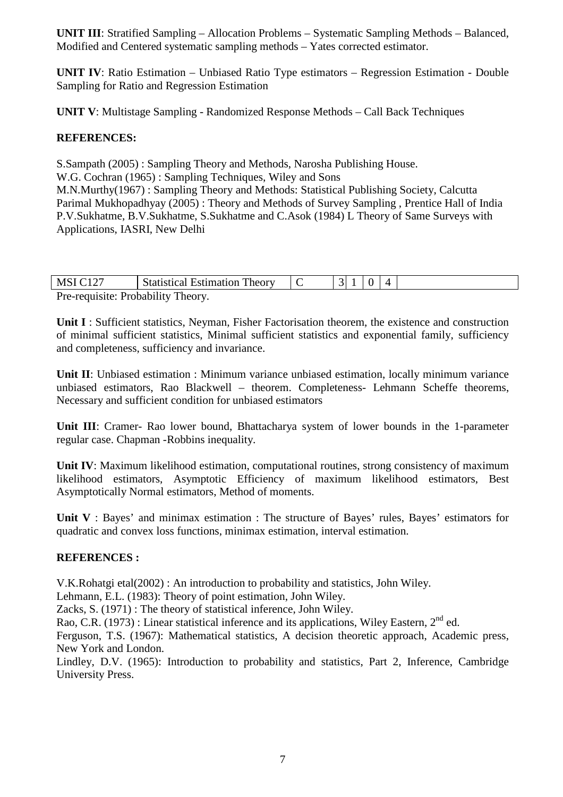**UNIT III**: Stratified Sampling – Allocation Problems – Systematic Sampling Methods – Balanced, Modified and Centered systematic sampling methods – Yates corrected estimator.

**UNIT IV**: Ratio Estimation – Unbiased Ratio Type estimators – Regression Estimation - Double Sampling for Ratio and Regression Estimation

**UNIT V**: Multistage Sampling - Randomized Response Methods – Call Back Techniques

# **REFERENCES:**

S.Sampath (2005) : Sampling Theory and Methods, Narosha Publishing House. W.G. Cochran (1965) : Sampling Techniques, Wiley and Sons M.N.Murthy(1967) : Sampling Theory and Methods: Statistical Publishing Society, Calcutta Parimal Mukhopadhyay (2005) : Theory and Methods of Survey Sampling , Prentice Hall of India P.V.Sukhatme, B.V.Sukhatme, S.Sukhatme and C.Asok (1984) L Theory of Same Surveys with Applications, IASRI, New Delhi

| <b>MSI C127</b>                    | <b>Statistical Estimation Theory</b> |  |  |  |
|------------------------------------|--------------------------------------|--|--|--|
| Pre-requisite: Probability Theory. |                                      |  |  |  |

**Unit I** : Sufficient statistics, Neyman, Fisher Factorisation theorem, the existence and construction of minimal sufficient statistics, Minimal sufficient statistics and exponential family, sufficiency and completeness, sufficiency and invariance.

**Unit II**: Unbiased estimation : Minimum variance unbiased estimation, locally minimum variance unbiased estimators, Rao Blackwell – theorem. Completeness- Lehmann Scheffe theorems, Necessary and sufficient condition for unbiased estimators

**Unit III**: Cramer- Rao lower bound, Bhattacharya system of lower bounds in the 1-parameter regular case. Chapman -Robbins inequality.

**Unit IV**: Maximum likelihood estimation, computational routines, strong consistency of maximum likelihood estimators, Asymptotic Efficiency of maximum likelihood estimators, Best Asymptotically Normal estimators, Method of moments.

Unit V : Bayes' and minimax estimation : The structure of Bayes' rules, Bayes' estimators for quadratic and convex loss functions, minimax estimation, interval estimation.

#### **REFERENCES :**

V.K.Rohatgi etal(2002) : An introduction to probability and statistics, John Wiley.

Lehmann, E.L. (1983): Theory of point estimation, John Wiley.

Zacks, S. (1971) : The theory of statistical inference, John Wiley.

Rao, C.R. (1973) : Linear statistical inference and its applications, Wiley Eastern, 2<sup>nd</sup> ed.

Ferguson, T.S. (1967): Mathematical statistics, A decision theoretic approach, Academic press, New York and London.

Lindley, D.V. (1965): Introduction to probability and statistics, Part 2, Inference, Cambridge University Press.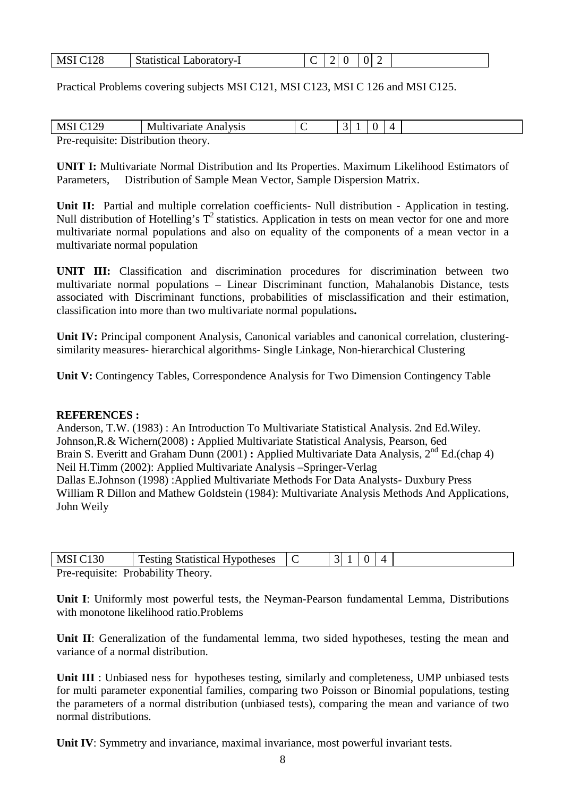| <b>MSI C128</b> | <b>Statistical</b><br>Laboratory-1 |  |  |  |  |  |  |
|-----------------|------------------------------------|--|--|--|--|--|--|
|-----------------|------------------------------------|--|--|--|--|--|--|

Practical Problems covering subjects MSI C121, MSI C123, MSI C 126 and MSI C125.

| MSI C                               | Multivariate Analysis |  |  |  |
|-------------------------------------|-----------------------|--|--|--|
| Pre-requisite: Distribution theory. |                       |  |  |  |

**UNIT I:** Multivariate Normal Distribution and Its Properties. Maximum Likelihood Estimators of Parameters, Distribution of Sample Mean Vector, Sample Dispersion Matrix.

Unit II: Partial and multiple correlation coefficients- Null distribution - Application in testing. Null distribution of Hotelling's  $T^2$  statistics. Application in tests on mean vector for one and more multivariate normal populations and also on equality of the components of a mean vector in a multivariate normal population

**UNIT III:** Classification and discrimination procedures for discrimination between two multivariate normal populations – Linear Discriminant function, Mahalanobis Distance, tests associated with Discriminant functions, probabilities of misclassification and their estimation, classification into more than two multivariate normal populations**.** 

**Unit IV:** Principal component Analysis, Canonical variables and canonical correlation, clusteringsimilarity measures- hierarchical algorithms- Single Linkage, Non-hierarchical Clustering

**Unit V:** Contingency Tables, Correspondence Analysis for Two Dimension Contingency Table

#### **REFERENCES :**

Anderson, T.W. (1983) : An Introduction To Multivariate Statistical Analysis. 2nd Ed.Wiley. Johnson,R.& Wichern(2008) **:** Applied Multivariate Statistical Analysis, Pearson, 6ed Brain S. Everitt and Graham Dunn (2001) : Applied Multivariate Data Analysis, 2<sup>nd</sup> Ed.(chap 4) Neil H.Timm (2002): Applied Multivariate Analysis –Springer-Verlag Dallas E.Johnson (1998) :Applied Multivariate Methods For Data Analysts- Duxbury Press William R Dillon and Mathew Goldstein (1984): Multivariate Analysis Methods And Applications, John Weily

| MSIC130                            | <b>Testing Statistical Hypotheses</b> |  |  |  |
|------------------------------------|---------------------------------------|--|--|--|
| Pre-requisite: Probability Theory. |                                       |  |  |  |

**Unit I**: Uniformly most powerful tests, the Neyman-Pearson fundamental Lemma, Distributions with monotone likelihood ratio.Problems

Unit II: Generalization of the fundamental lemma, two sided hypotheses, testing the mean and variance of a normal distribution.

**Unit III** : Unbiased ness for hypotheses testing, similarly and completeness, UMP unbiased tests for multi parameter exponential families, comparing two Poisson or Binomial populations, testing the parameters of a normal distribution (unbiased tests), comparing the mean and variance of two normal distributions.

**Unit IV**: Symmetry and invariance, maximal invariance, most powerful invariant tests.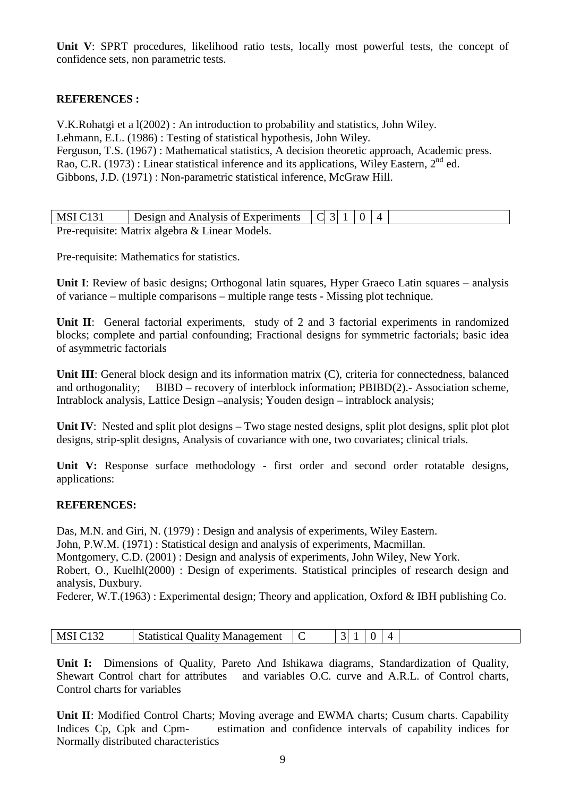Unit V: SPRT procedures, likelihood ratio tests, locally most powerful tests, the concept of confidence sets, non parametric tests.

# **REFERENCES :**

V.K.Rohatgi et a l(2002) : An introduction to probability and statistics, John Wiley. Lehmann, E.L. (1986) : Testing of statistical hypothesis, John Wiley. Ferguson, T.S. (1967) : Mathematical statistics, A decision theoretic approach, Academic press. Rao, C.R. (1973) : Linear statistical inference and its applications, Wiley Eastern,  $2<sup>nd</sup>$  ed. Gibbons, J.D. (1971) : Non-parametric statistical inference, McGraw Hill.

| MSI C131 | Design and Analysis of Experiments $ C $ 3 1   0   4 |  |  |  |
|----------|------------------------------------------------------|--|--|--|
|          | Pre-requisite: Matrix algebra & Linear Models.       |  |  |  |

Pre-requisite: Mathematics for statistics.

**Unit I**: Review of basic designs; Orthogonal latin squares, Hyper Graeco Latin squares – analysis of variance – multiple comparisons – multiple range tests - Missing plot technique.

Unit II: General factorial experiments, study of 2 and 3 factorial experiments in randomized blocks; complete and partial confounding; Fractional designs for symmetric factorials; basic idea of asymmetric factorials

**Unit III**: General block design and its information matrix (C), criteria for connectedness, balanced and orthogonality; BIBD – recovery of interblock information; PBIBD(2).- Association scheme, Intrablock analysis, Lattice Design –analysis; Youden design – intrablock analysis;

**Unit IV:** Nested and split plot designs – Two stage nested designs, split plot designs, split plot plot designs, strip-split designs, Analysis of covariance with one, two covariates; clinical trials.

Unit V: Response surface methodology - first order and second order rotatable designs, applications:

#### **REFERENCES:**

Das, M.N. and Giri, N. (1979) : Design and analysis of experiments, Wiley Eastern.

John, P.W.M. (1971) : Statistical design and analysis of experiments, Macmillan.

Montgomery, C.D. (2001) : Design and analysis of experiments, John Wiley, New York.

Robert, O., Kuelhl(2000) : Design of experiments. Statistical principles of research design and analysis, Duxbury.

Federer, W.T.(1963): Experimental design; Theory and application, Oxford & IBH publishing Co.

| МS<br>سمدت | Statistical<br>: Management<br>Juality | . . |  |  |
|------------|----------------------------------------|-----|--|--|

**Unit I:** Dimensions of Quality, Pareto And Ishikawa diagrams, Standardization of Quality, Shewart Control chart for attributes and variables O.C. curve and A.R.L. of Control charts, Control charts for variables

**Unit II**: Modified Control Charts; Moving average and EWMA charts; Cusum charts. Capability Indices Cp, Cpk and Cpm- estimation and confidence intervals of capability indices for Normally distributed characteristics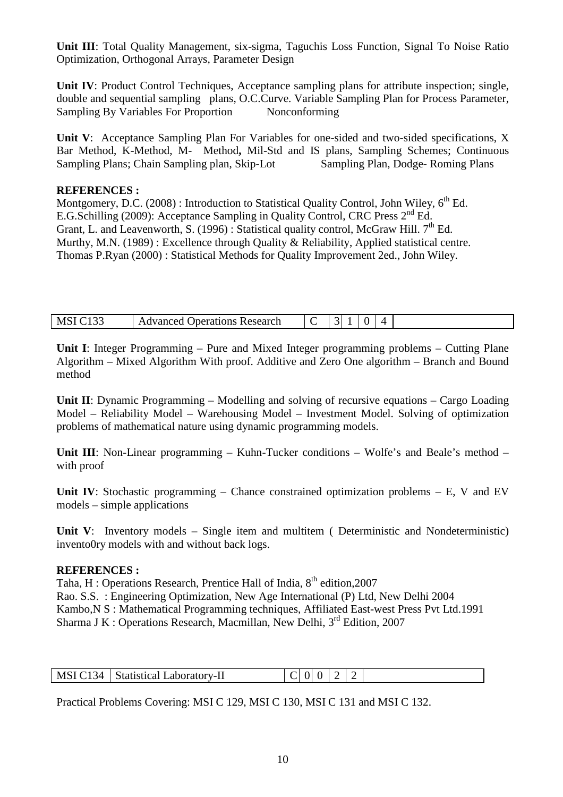**Unit III**: Total Quality Management, six-sigma, Taguchis Loss Function, Signal To Noise Ratio Optimization, Orthogonal Arrays, Parameter Design

**Unit IV**: Product Control Techniques, Acceptance sampling plans for attribute inspection; single, double and sequential sampling plans, O.C.Curve. Variable Sampling Plan for Process Parameter, Sampling By Variables For Proportion Nonconforming

**Unit V**: Acceptance Sampling Plan For Variables for one-sided and two-sided specifications, X Bar Method, K-Method, M- Method**,** Mil-Std and IS plans, Sampling Schemes; Continuous Sampling Plans; Chain Sampling plan, Skip-Lot Sampling Plan, Dodge- Roming Plans

#### **REFERENCES :**

Montgomery, D.C. (2008) : Introduction to Statistical Quality Control, John Wiley,  $6<sup>th</sup>$  Ed. E.G.Schilling (2009): Acceptance Sampling in Quality Control, CRC Press 2nd Ed. Grant, L. and Leavenworth, S. (1996) : Statistical quality control, McGraw Hill.  $7<sup>th</sup>$  Ed. Murthy, M.N. (1989) : Excellence through Quality & Reliability, Applied statistical centre. Thomas P.Ryan (2000) : Statistical Methods for Quality Improvement 2ed., John Wiley.

| <b>MS</b> | Operations Research<br>Advanced |  |  |  |  |  |  |
|-----------|---------------------------------|--|--|--|--|--|--|
|-----------|---------------------------------|--|--|--|--|--|--|

**Unit I**: Integer Programming – Pure and Mixed Integer programming problems – Cutting Plane Algorithm – Mixed Algorithm With proof. Additive and Zero One algorithm – Branch and Bound method

**Unit II**: Dynamic Programming – Modelling and solving of recursive equations – Cargo Loading Model – Reliability Model – Warehousing Model – Investment Model. Solving of optimization problems of mathematical nature using dynamic programming models.

**Unit III**: Non-Linear programming – Kuhn-Tucker conditions – Wolfe's and Beale's method – with proof

**Unit IV**: Stochastic programming – Chance constrained optimization problems – E, V and EV models – simple applications

Unit V: Inventory models – Single item and multitem (Deterministic and Nondeterministic) invento0ry models with and without back logs.

#### **REFERENCES :**

Taha, H : Operations Research, Prentice Hall of India, 8<sup>th</sup> edition, 2007 Rao. S.S. : Engineering Optimization, New Age International (P) Ltd, New Delhi 2004 Kambo,N S : Mathematical Programming techniques, Affiliated East-west Press Pvt Ltd.1991 Sharma J K : Operations Research, Macmillan, New Delhi, 3<sup>rd</sup> Edition, 2007

| <b>MSI</b><br>34<br>Statıstıcal 1<br>∟aboratorv-11 | 0 |
|----------------------------------------------------|---|
|----------------------------------------------------|---|

Practical Problems Covering: MSI C 129, MSI C 130, MSI C 131 and MSI C 132.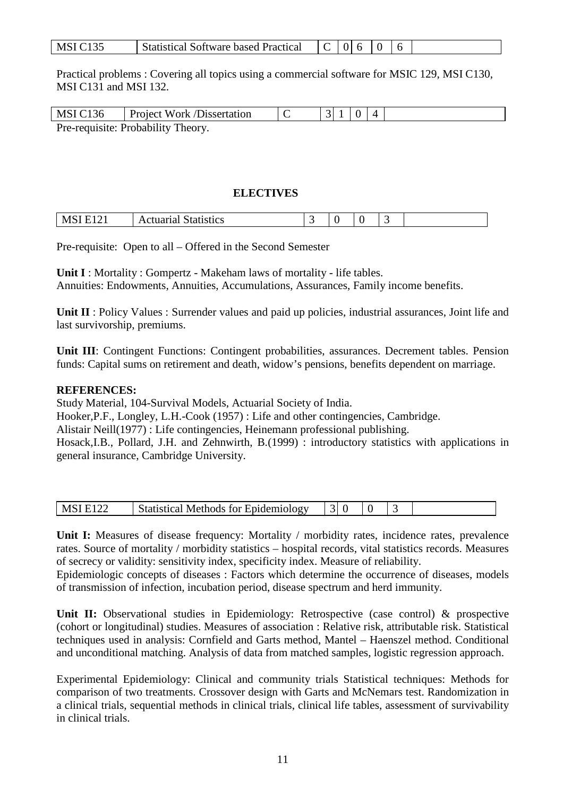| <b>MSI</b><br><b>Statistical Software based Practical</b> |  |  |  |  |  |  |
|-----------------------------------------------------------|--|--|--|--|--|--|
|-----------------------------------------------------------|--|--|--|--|--|--|

Practical problems : Covering all topics using a commercial software for MSIC 129, MSI C130, MSI C131 and MSI 132.

| MSI C <sub>136</sub> | <b>Project Work /Dissertation</b>  |  |  |  |
|----------------------|------------------------------------|--|--|--|
|                      | Pre-requisite: Probability Theory. |  |  |  |

### **ELECTIVES**

| tistics<br>91 И<br>на<br>∽<br>xc |  |
|----------------------------------|--|

Pre-requisite: Open to all – Offered in the Second Semester

**Unit I** : Mortality : Gompertz - Makeham laws of mortality - life tables. Annuities: Endowments, Annuities, Accumulations, Assurances, Family income benefits.

**Unit II** : Policy Values : Surrender values and paid up policies, industrial assurances, Joint life and last survivorship, premiums.

**Unit III**: Contingent Functions: Contingent probabilities, assurances. Decrement tables. Pension funds: Capital sums on retirement and death, widow's pensions, benefits dependent on marriage.

# **REFERENCES:**

Study Material, 104-Survival Models, Actuarial Society of India.

Hooker,P.F., Longley, L.H.-Cook (1957) : Life and other contingencies, Cambridge.

Alistair Neill(1977) : Life contingencies, Heinemann professional publishing.

Hosack,I.B., Pollard, J.H. and Zehnwirth, B.(1999) : introductory statistics with applications in general insurance, Cambridge University.

| N' | المشموعة المشموقا<br>$\cdot$ m10 $\cdot$ log $\cdot$ r $\cdot$<br>$\Omega$<br>`∩t<br>- -<br>าตร<br>пе<br>.<br>161 L L<br>v<br>-14.1<br>10 - م<br><u>.</u> |  |  |  |
|----|-----------------------------------------------------------------------------------------------------------------------------------------------------------|--|--|--|

**Unit I:** Measures of disease frequency: Mortality / morbidity rates, incidence rates, prevalence rates. Source of mortality / morbidity statistics – hospital records, vital statistics records. Measures of secrecy or validity: sensitivity index, specificity index. Measure of reliability.

Epidemiologic concepts of diseases : Factors which determine the occurrence of diseases, models of transmission of infection, incubation period, disease spectrum and herd immunity.

Unit II: Observational studies in Epidemiology: Retrospective (case control) & prospective (cohort or longitudinal) studies. Measures of association : Relative risk, attributable risk. Statistical techniques used in analysis: Cornfield and Garts method, Mantel – Haenszel method. Conditional and unconditional matching. Analysis of data from matched samples, logistic regression approach.

Experimental Epidemiology: Clinical and community trials Statistical techniques: Methods for comparison of two treatments. Crossover design with Garts and McNemars test. Randomization in a clinical trials, sequential methods in clinical trials, clinical life tables, assessment of survivability in clinical trials.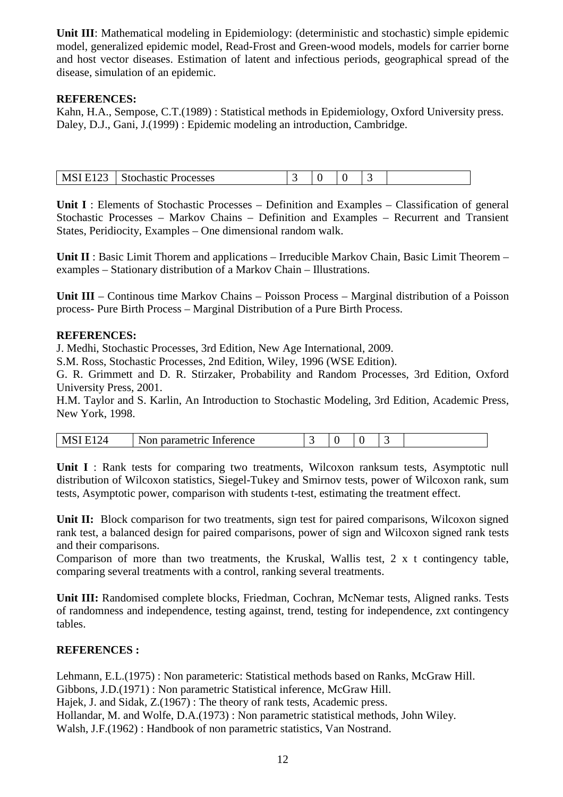**Unit III**: Mathematical modeling in Epidemiology: (deterministic and stochastic) simple epidemic model, generalized epidemic model, Read-Frost and Green-wood models, models for carrier borne and host vector diseases. Estimation of latent and infectious periods, geographical spread of the disease, simulation of an epidemic.

# **REFERENCES:**

Kahn, H.A., Sempose, C.T.(1989) : Statistical methods in Epidemiology, Oxford University press. Daley, D.J., Gani, J.(1999) : Epidemic modeling an introduction, Cambridge.

| 123<br>MSI E1 | <b>Stochastic Processes</b> |  |  |  |
|---------------|-----------------------------|--|--|--|

**Unit I** : Elements of Stochastic Processes – Definition and Examples – Classification of general Stochastic Processes – Markov Chains – Definition and Examples – Recurrent and Transient States, Peridiocity, Examples – One dimensional random walk.

**Unit II** : Basic Limit Thorem and applications – Irreducible Markov Chain, Basic Limit Theorem – examples – Stationary distribution of a Markov Chain – Illustrations.

**Unit III** – Continous time Markov Chains – Poisson Process – Marginal distribution of a Poisson process- Pure Birth Process – Marginal Distribution of a Pure Birth Process.

# **REFERENCES:**

J. Medhi, Stochastic Processes, 3rd Edition, New Age International, 2009.

S.M. Ross, Stochastic Processes, 2nd Edition, Wiley, 1996 (WSE Edition).

G. R. Grimmett and D. R. Stirzaker, Probability and Random Processes, 3rd Edition, Oxford University Press, 2001.

H.M. Taylor and S. Karlin, An Introduction to Stochastic Modeling, 3rd Edition, Academic Press, New York, 1998.

| --<br>erence<br>n<br>IV.<br>◥<br>,,,,,,,<br>тан<br>.<br>$\ddotsc$<br>**** |  |  |  |  |  |
|---------------------------------------------------------------------------|--|--|--|--|--|
|---------------------------------------------------------------------------|--|--|--|--|--|

**Unit I** : Rank tests for comparing two treatments, Wilcoxon ranksum tests, Asymptotic null distribution of Wilcoxon statistics, Siegel-Tukey and Smirnov tests, power of Wilcoxon rank, sum tests, Asymptotic power, comparison with students t-test, estimating the treatment effect.

**Unit II:** Block comparison for two treatments, sign test for paired comparisons, Wilcoxon signed rank test, a balanced design for paired comparisons, power of sign and Wilcoxon signed rank tests and their comparisons.

Comparison of more than two treatments, the Kruskal, Wallis test, 2 x t contingency table, comparing several treatments with a control, ranking several treatments.

**Unit III:** Randomised complete blocks, Friedman, Cochran, McNemar tests, Aligned ranks. Tests of randomness and independence, testing against, trend, testing for independence, zxt contingency tables.

# **REFERENCES :**

Lehmann, E.L.(1975) : Non parameteric: Statistical methods based on Ranks, McGraw Hill. Gibbons, J.D.(1971) : Non parametric Statistical inference, McGraw Hill. Hajek, J. and Sidak, Z.(1967) : The theory of rank tests, Academic press. Hollandar, M. and Wolfe, D.A.(1973) : Non parametric statistical methods, John Wiley. Walsh, J.F.(1962) : Handbook of non parametric statistics, Van Nostrand.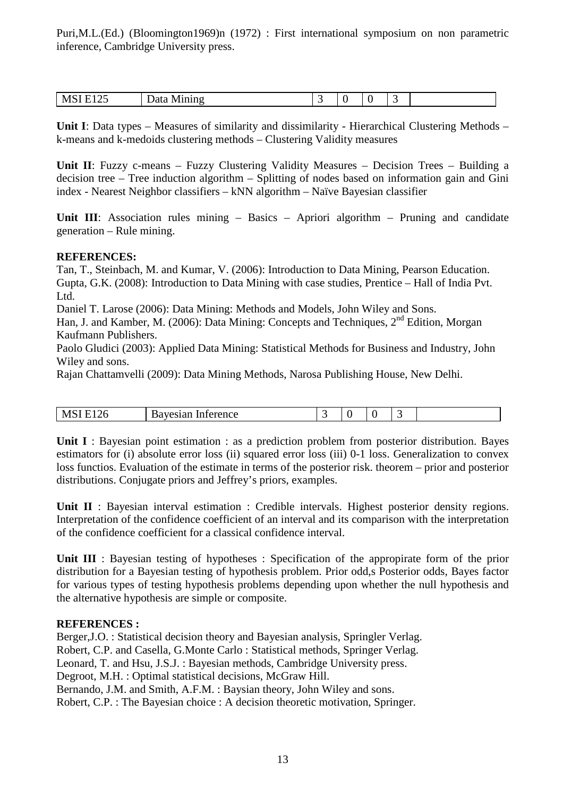Puri,M.L.(Ed.) (Bloomington1969)n (1972) : First international symposium on non parametric inference, Cambridge University press.

| $\sim$ $\sim$<br>$\sim$ $\sim$<br>.nıno<br>$-1$<br>IMI S<br>12.<br>v<br><u>.</u><br>. |  |  |  |  |  |
|---------------------------------------------------------------------------------------|--|--|--|--|--|
|---------------------------------------------------------------------------------------|--|--|--|--|--|

**Unit I**: Data types – Measures of similarity and dissimilarity - Hierarchical Clustering Methods – k-means and k-medoids clustering methods – Clustering Validity measures

**Unit II**: Fuzzy c-means – Fuzzy Clustering Validity Measures – Decision Trees – Building a decision tree – Tree induction algorithm – Splitting of nodes based on information gain and Gini index - Nearest Neighbor classifiers – kNN algorithm – Naïve Bayesian classifier

**Unit III**: Association rules mining – Basics – Apriori algorithm – Pruning and candidate generation – Rule mining.

#### **REFERENCES:**

Tan, T., Steinbach, M. and Kumar, V. (2006): Introduction to Data Mining, Pearson Education. Gupta, G.K. (2008): Introduction to Data Mining with case studies, Prentice – Hall of India Pvt. Ltd.

Daniel T. Larose (2006): Data Mining: Methods and Models, John Wiley and Sons.

Han, J. and Kamber, M. (2006): Data Mining: Concepts and Techniques, 2<sup>nd</sup> Edition, Morgan Kaufmann Publishers.

Paolo Gludici (2003): Applied Data Mining: Statistical Methods for Business and Industry, John Wiley and sons.

Rajan Chattamvelli (2009): Data Mining Methods, Narosa Publishing House, New Delhi.

| υл<br>w<br>$\sim$ $\sim$ $\sim$ $\sim$<br><b>TIPLE</b> | $\alpha$ ranca<br>erence<br>.<br>ман<br> |  |  |  |
|--------------------------------------------------------|------------------------------------------|--|--|--|

**Unit I** : Bayesian point estimation : as a prediction problem from posterior distribution. Bayes estimators for (i) absolute error loss (ii) squared error loss (iii) 0-1 loss. Generalization to convex loss functios. Evaluation of the estimate in terms of the posterior risk. theorem – prior and posterior distributions. Conjugate priors and Jeffrey's priors, examples.

**Unit II** : Bayesian interval estimation : Credible intervals. Highest posterior density regions. Interpretation of the confidence coefficient of an interval and its comparison with the interpretation of the confidence coefficient for a classical confidence interval.

Unit III : Bayesian testing of hypotheses : Specification of the appropirate form of the prior distribution for a Bayesian testing of hypothesis problem. Prior odd,s Posterior odds, Bayes factor for various types of testing hypothesis problems depending upon whether the null hypothesis and the alternative hypothesis are simple or composite.

#### **REFERENCES :**

Berger,J.O. : Statistical decision theory and Bayesian analysis, Springler Verlag. Robert, C.P. and Casella, G.Monte Carlo : Statistical methods, Springer Verlag. Leonard, T. and Hsu, J.S.J. : Bayesian methods, Cambridge University press. Degroot, M.H. : Optimal statistical decisions, McGraw Hill. Bernando, J.M. and Smith, A.F.M. : Baysian theory, John Wiley and sons. Robert, C.P. : The Bayesian choice : A decision theoretic motivation, Springer.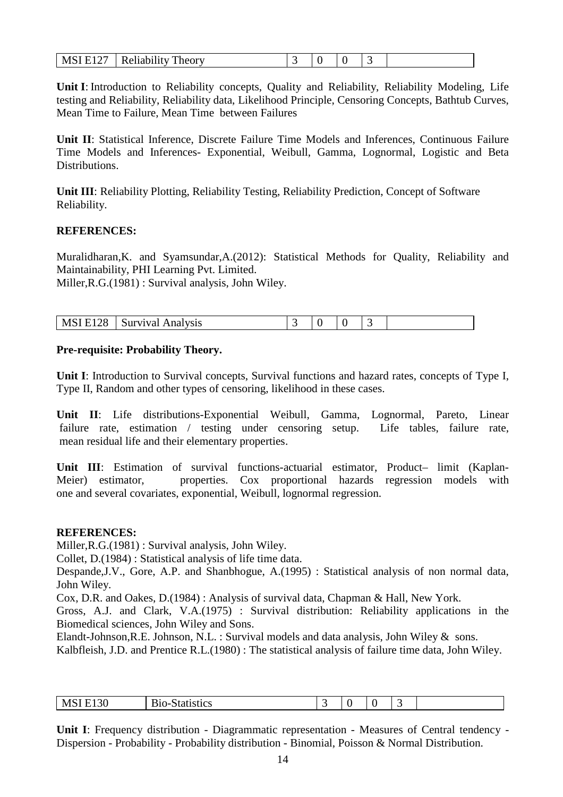| <b>MSI E127</b><br>Reliability<br>Theory<br>TATAT |  |  |
|---------------------------------------------------|--|--|
|---------------------------------------------------|--|--|

**Unit I**: Introduction to Reliability concepts, Quality and Reliability, Reliability Modeling, Life testing and Reliability, Reliability data, Likelihood Principle, Censoring Concepts, Bathtub Curves, Mean Time to Failure, Mean Time between Failures

**Unit II**: Statistical Inference, Discrete Failure Time Models and Inferences, Continuous Failure Time Models and Inferences- Exponential, Weibull, Gamma, Lognormal, Logistic and Beta **Distributions** 

**Unit III**: Reliability Plotting, Reliability Testing, Reliability Prediction, Concept of Software Reliability.

# **REFERENCES:**

Muralidharan,K. and Syamsundar,A.(2012): Statistical Methods for Quality, Reliability and Maintainability, PHI Learning Pvt. Limited.

Miller,R.G.(1981) : Survival analysis, John Wiley.

| MSI E128 | <b>Survival Analysis</b> |  |  |  |
|----------|--------------------------|--|--|--|

# **Pre-requisite: Probability Theory.**

**Unit I**: Introduction to Survival concepts, Survival functions and hazard rates, concepts of Type I, Type II, Random and other types of censoring, likelihood in these cases.

**Unit II**: Life distributions-Exponential Weibull, Gamma, Lognormal, Pareto, Linear failure rate, estimation / testing under censoring setup. Life tables, failure rate, mean residual life and their elementary properties.

**Unit III**: Estimation of survival functions-actuarial estimator, Product– limit (Kaplan-Meier) estimator, properties. Cox proportional hazards regression models with one and several covariates, exponential, Weibull, lognormal regression.

#### **REFERENCES:**

Miller,R.G.(1981) : Survival analysis, John Wiley.

Collet, D.(1984) : Statistical analysis of life time data.

Despande,J.V., Gore, A.P. and Shanbhogue, A.(1995) : Statistical analysis of non normal data, John Wiley.

Cox, D.R. and Oakes, D.(1984) : Analysis of survival data, Chapman & Hall, New York.

Gross, A.J. and Clark, V.A.(1975) : Survival distribution: Reliability applications in the Biomedical sciences, John Wiley and Sons.

Elandt-Johnson,R.E. Johnson, N.L. : Survival models and data analysis, John Wiley & sons.

Kalbfleish, J.D. and Prentice R.L.(1980) : The statistical analysis of failure time data, John Wiley.

| D.<br>20<br>MS.<br>01100<br>K.<br>''Stics'<br>ں د ب<br>I ( ) –<br>этаг<br>. | . |  |  |  |  |  |  |  |
|-----------------------------------------------------------------------------|---|--|--|--|--|--|--|--|
|-----------------------------------------------------------------------------|---|--|--|--|--|--|--|--|

**Unit I**: Frequency distribution - Diagrammatic representation - Measures of Central tendency - Dispersion - Probability - Probability distribution - Binomial, Poisson & Normal Distribution.